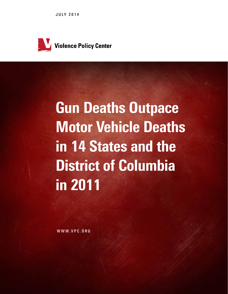JULY 2014



# Gun Deaths Outpace Motor Vehicle Deaths in 14 States and the District of Columbia in 2011

WWW.VPC.ORG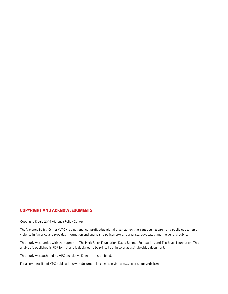### copyright and acknowledgments

Copyright © July 2014 Violence Policy Center

The Violence Policy Center (VPC) is a national nonprofit educational organization that conducts research and public education on violence in America and provides information and analysis to policymakers, journalists, advocates, and the general public.

This study was funded with the support of The Herb Block Foundation, David Bohnett Foundation, and The Joyce Foundation. This analysis is published in PDF format and is designed to be printed out in color as a single-sided document.

This study was authored by VPC Legislative Director Kristen Rand.

For a complete list of VPC publications with document links, please visit www.vpc.org/studyndx.htm.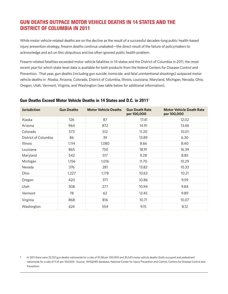## Gun Deaths Outpace Motor Vehicle Deaths in 14 States and the District of Columbia in 2011

While motor vehicle-related deaths are on the decline as the result of a successful decades-long public health-based injury prevention strategy, firearm deaths continue unabated—the direct result of the failure of policymakers to acknowledge and act on this ubiquitous and too often ignored public health problem.

Firearm-related fatalities exceeded motor vehicle fatalities in 14 states and the District of Columbia in 2011, the most recent year for which state-level data is available for both products from the federal Centers for Disease Control and Prevention. That year, gun deaths (including gun suicide, homicide, and fatal unintentional shootings) outpaced motor vehicle deaths in Alaska, Arizona, Colorado, District of Columbia, Illinois, Louisiana, Maryland, Michigan, Nevada, Ohio, Oregon, Utah, Vermont, Virginia, and Washington (see table below for additional information).

| <b>Jurisdiction</b>  | <b>Gun Deaths</b> | <b>Motor Vehicle Deaths</b> | <b>Gun Death Rate</b><br>per 100,000 | <b>Motor Vehicle Death Rate</b><br>per 100,000 |
|----------------------|-------------------|-----------------------------|--------------------------------------|------------------------------------------------|
| Alaska               | 126               | 87                          | 17.41                                | 12.02                                          |
| Arizona              | 964               | 872                         | 14.91                                | 13.48                                          |
| Colorado             | 573               | 512                         | 11.20                                | 10.01                                          |
| District of Columbia | 86                | 39                          | 13.89                                | 6.30                                           |
| Illinois             | 1,114             | 1,080                       | 8.66                                 | 8.40                                           |
| Louisiana            | 865               | 750                         | 18.91                                | 16.39                                          |
| Maryland             | 542               | 517                         | 9.28                                 | 8.85                                           |
| Michigan             | 1,156             | 1,016                       | 11.70                                | 10.29                                          |
| Nevada               | 376               | 281                         | 13.82                                | 10.33                                          |
| Ohio                 | 1,227             | 1,178                       | 10.63                                | 10.21                                          |
| Oregon               | 420               | 371                         | 10.86                                | 9.59                                           |
| Utah                 | 308               | 277                         | 10.94                                | 9.84                                           |
| Vermont              | 78                | 62                          | 12.45                                | 9.89                                           |
| Virginia             | 868               | 816                         | 10.71                                | 10.07                                          |
| Washington           | 624               | 554                         | 9.15                                 | 8.12                                           |

### Gun Deaths Exceed Motor Vehicle Deaths in 14 States and D.C. in 2011<sup>1</sup>

1 In 2011 there were 32,351 gun deaths nationwide for a rate of 10.38 per 100,000 and 35,543 motor vehicle deaths (both occupant and pedestrian) nationwide for a rate of 11.41 per 100,000. Source: WISQARS database, National Center for Injury Prevention and Control, Centers for Disease Control and Prevention.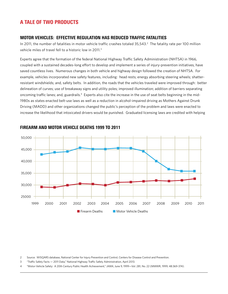## A Tale of Two Products

#### Motor Vehicles: Effective Regulation Has Reduced Traffic Fatalities

In 2011, the number of fatalities in motor vehicle traffic crashes totaled 35,543.<sup>2</sup> The fatality rate per 100 million vehicle miles of travel fell to a historic low in 2011.3

Experts agree that the formation of the federal National Highway Traffic Safety Administration (NHTSA) in 1966, coupled with a sustained decades-long effort to develop and implement a series of injury-prevention initiatives, have saved countless lives. Numerous changes in both vehicle and highway design followed the creation of NHTSA. For example, vehicles incorporated new safety features, including: head rests; energy absorbing steering wheels; shatterresistant windshields; and, safety belts. In addition, the roads that the vehicles traveled were improved through: better delineation of curves; use of breakaway signs and utility poles; improved illumination; addition of barriers separating oncoming traffic lanes; and, guardrails.<sup>4</sup> Experts also cite the increase in the use of seat belts beginning in the mid-1980s as states enacted belt-use laws as well as a reduction in alcohol-impaired driving as Mothers Against Drunk Driving (MADD) and other organizations changed the public's perception of the problem and laws were enacted to increase the likelihood that intoxicated drivers would be punished. Graduated licensing laws are credited with helping



### Firearm and Motor Vehicle Deaths 1999 to 2011

2 Source: WISQARS database, National Center for Injury Prevention and Control, Centers for Disease Control and Prevention.

3 "Traffic Safety Facts — 2011 Data," National Highway Traffic Safety Administration, April 2013.

4 "Motor-Vehicle Safety: A 20th Century Public Health Achievement," *JAMA*, June 9, 1999—Vol. 281, No. 22 (MMWR, 1999; 48:369-374).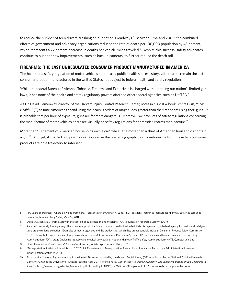to reduce the number of teen drivers crashing on our nation's roadways.<sup>5</sup> Between 1966 and 2000, the combined efforts of government and advocacy organizations reduced the rate of death per 100,000 population by 43 percent, which represents a 72 percent decrease in deaths per vehicle miles traveled.<sup>6</sup> Despite this success, safety advocates continue to push for new improvements, such as backup cameras, to further reduce the death toll.

## Firearms: The Last Unregulated Consumer Product Manufactured in America

The health and safety regulation of motor vehicles stands as a public health success story, yet firearms remain the last consumer product manufactured in the United States not subject to federal health and safety regulation.

While the federal Bureau of Alcohol, Tobacco, Firearms and Explosives is charged with enforcing our nation's limited gun laws, it has none of the health and safety regulatory powers afforded other federal agencies such as NHTSA.<sup>7</sup>

As Dr. David Hemenway, director of the Harvard Injury Control Research Center, notes in his 2004 book *Private Guns, Public Health*: "[T]he time Americans spend using their cars is orders of magnitudes greater than the time spent using their guns. It is probable that per hour of exposure, guns are far more dangerous. Moreover, we have lots of safety regulations concerning the manufacture of motor vehicles; there are virtually no safety regulations for domestic firearms manufacture."<sup>8</sup>

More than 90 percent of American households own a car<sup>9</sup> while little more than a third of American households contain a gun.<sup>10</sup> And yet, if charted out year by year as seen in the preceding graph, deaths nationwide from these two consumer products are on a trajectory to intersect.

- 5 "50 years of progress: Where do we go from here?," presentation by Adrian K. Lund, PhD, President, Insurance Institute for Highway Safety at Edmunds' Safety Conference: Truly Safe?, May 24, 2011.
- 6 David A. Sleet, et al, "Traffic Safety in the context of public health and medicine," AAA Foundation for Traffic Safety (2007).
- 7 As noted previously, literally every other consumer product sold and manufactured in the United States is regulated by a federal agency for health and safetyguns are the unique exception. Examples of federal agencies and the products for which they are responsible include: Consumer Product Safety Commission (CPSC), household products (except for guns and ammunition); Environmental Protection Agency (EPA), pesticides and toxic chemicals; Food and Drug Administration (FDA), drugs (including tobacco) and medical devices; and, National Highway Traffic Safety Administration (NHTSA), motor vehicles.
- 8 David Hemenway, *Private Guns, Public Health*, University of Michigan Press, 2004, p. 182.
- 9 "Transportation Statistics Annual Report 2012," U.S. Department of Transportation, Research and Innovative Technology Administration Bureau of Transportation Statistics, 2013.
- 10 For a detailed history of gun ownership in the United States as reported by the General Social Survey (GSS) conducted by the National Opinion Research Center (NORC) at the University of Chicago, see the April 2011 Violence Policy Center report *A Shrinking Minority: The Continuing Decline of Gun Ownership in America*, http://www.vpc.org/studies/ownership.pdf. According to NORC, in 2012 only 34.4 percent of U.S. households had a gun in the home.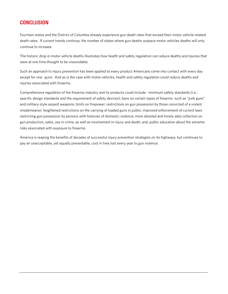## **CONCLUSION**

Fourteen states and the District of Columbia already experience gun death rates that exceed their motor vehicle-related death rates. If current trends continue, the number of states where gun deaths outpace motor vehicles deaths will only continue to increase.

The historic drop in motor vehicle deaths illustrates how health and safety regulation can reduce deaths and injuries that were at one time thought to be unavoidable.

Such an approach to injury prevention has been applied to every product Americans come into contact with every day except for one: guns. And as is the case with motor vehicles, health and safety regulation could reduce deaths and injuries associated with firearms.

Comprehensive regulation of the firearms industry and its products could include: minimum safety standards (i.e., specific design standards and the requirement of safety devices); bans on certain types of firearms such as "junk guns" and military-style assault weapons; limits on firepower; restrictions on gun possession by those convicted of a violent misdemeanor; heightened restrictions on the carrying of loaded guns in public; improved enforcement of current laws restricting gun possession by persons with histories of domestic violence; more detailed and timely data collection on gun production, sales, use in crime, as well as involvement in injury and death; and, public education about the extreme risks associated with exposure to firearms.

America is reaping the benefits of decades of successful injury prevention strategies on its highways, but continues to pay an unacceptable, yet equally preventable, cost in lives lost every year to gun violence.